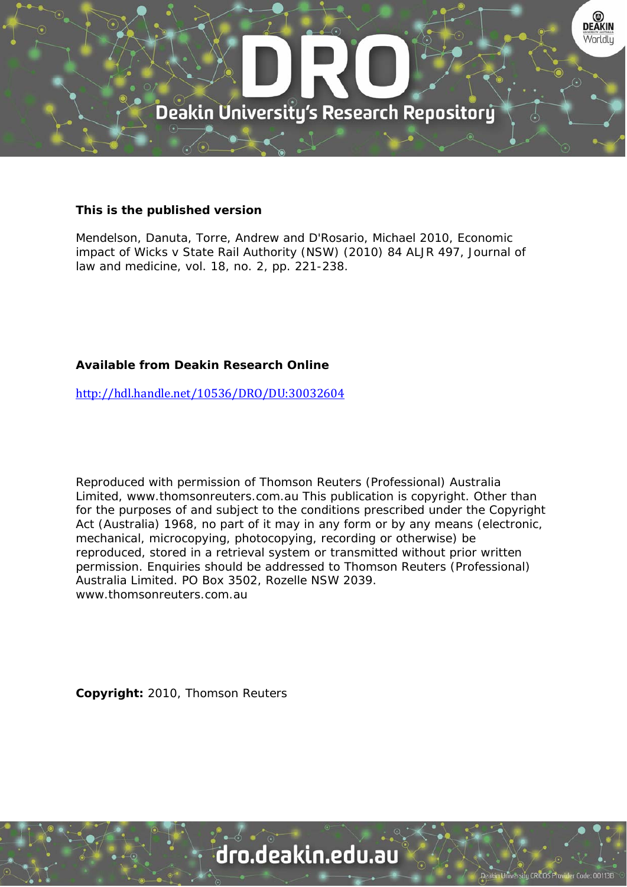

## **This is the published version**

Mendelson, Danuta, Torre, Andrew and D'Rosario, Michael 2010, Economic impact of Wicks v State Rail Authority (NSW) (2010) 84 ALJR 497, Journal of law and medicine, vol. 18, no. 2, pp. 221-238.

# **Available from Deakin Research Online**

http://hdl.handle.net/10536/DRO/DU:30032604

Reproduced with permission of Thomson Reuters (Professional) Australia Limited, www.thomsonreuters.com.au This publication is copyright. Other than for the purposes of and subject to the conditions prescribed under the Copyright Act (Australia) 1968, no part of it may in any form or by any means (electronic, mechanical, microcopying, photocopying, recording or otherwise) be reproduced, stored in a retrieval system or transmitted without prior written permission. Enquiries should be addressed to Thomson Reuters (Professional) Australia Limited. PO Box 3502, Rozelle NSW 2039. www.thomsonreuters.com.au

**Copyright:** 2010, Thomson Reuters

# dro.deakin.edu.au

tu CRICOS Pro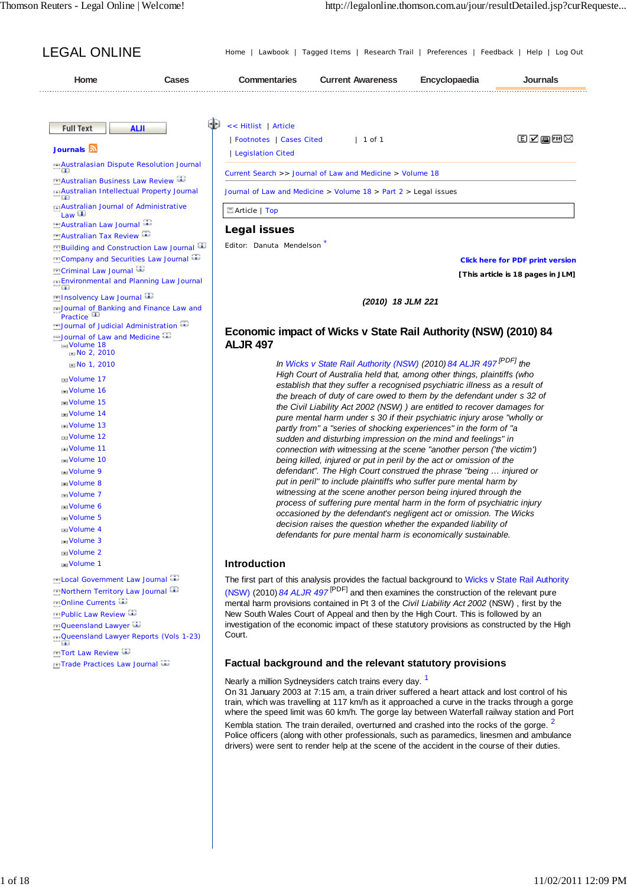Editor: Danuta Mendelson \*

**Click here for PDF print version**

**[This article is 18 pages in JLM]**

#### *(2010) 18 JLM 221*

## **Economic impact of Wicks v State Rail Authority (NSW) (2010) 84 ALJR 497**

*In Wicks v State Rail Authority (NSW) (2010) 84 ALJR 497 [PDF] the High Court of Australia held that, among other things, plaintiffs (who establish that they suffer a recognised psychiatric illness as a result of the breach of duty of care owed to them by the defendant under s 32 of the Civil Liability Act 2002 (NSW) ) are entitled to recover damages for pure mental harm under s 30 if their psychiatric injury arose "wholly or partly from" a "series of shocking experiences" in the form of "a sudden and disturbing impression on the mind and feelings" in connection with witnessing at the scene "another person ('the victim') being killed, injured or put in peril by the act or omission of the defendant". The High Court construed the phrase "being … injured or put in peril" to include plaintiffs who suffer pure mental harm by witnessing at the scene another person being injured through the process of suffering pure mental harm in the form of psychiatric injury occasioned by the defendant's negligent act or omission. The Wicks decision raises the question whether the expanded liability of defendants for pure mental harm is economically sustainable.*

#### **Introduction**

The first part of this analysis provides the factual background to Wicks v State Rail Authority (NSW) (2010) *84 ALJR 497* [PDF] and then examines the construction of the relevant pure mental harm provisions contained in Pt 3 of the *Civil Liability Act 2002* (NSW) , first by the New South Wales Court of Appeal and then by the High Court. This is followed by an investigation of the economic impact of these statutory provisions as constructed by the High Court.

## **Factual background and the relevant statutory provisions**

Nearly a million Sydneysiders catch trains every day.<sup>1</sup>

On 31 January 2003 at 7:15 am, a train driver suffered a heart attack and lost control of his train, which was travelling at 117 km/h as it approached a curve in the tracks through a gorge where the speed limit was 60 km/h. The gorge lay between Waterfall railway station and Port Kembla station. The train derailed, overturned and crashed into the rocks of the gorge. <sup>2</sup> Police officers (along with other professionals, such as paramedics, linesmen and ambulance drivers) were sent to render help at the scene of the accident in the course of their duties.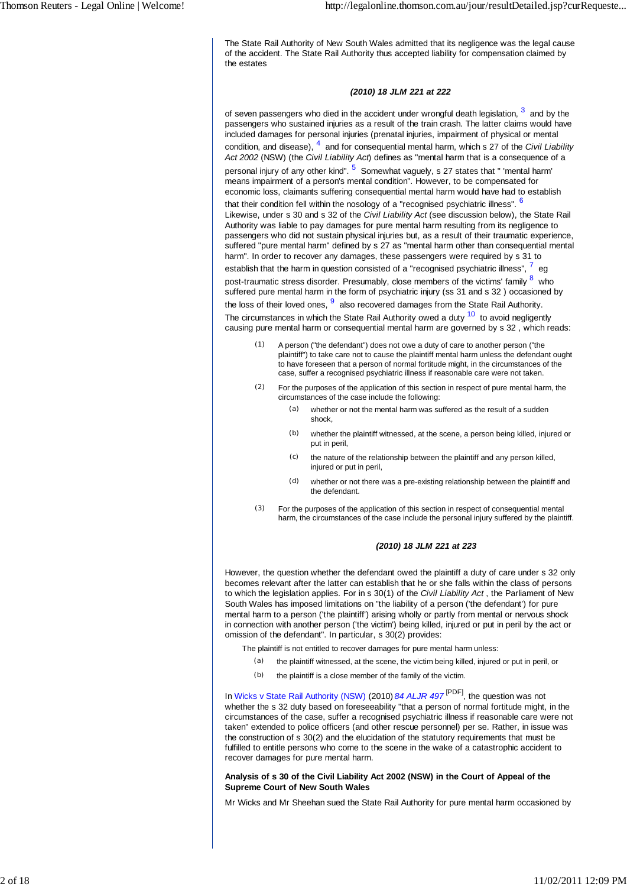The State Rail Authority of New South Wales admitted that its negligence was the legal cause of the accident. The State Rail Authority thus accepted liability for compensation claimed by the estates

#### *(2010) 18 JLM 221 at 222*

of seven passengers who died in the accident under wrongful death legislation,  $^3\,$  and by the passengers who sustained injuries as a result of the train crash. The latter claims would have included damages for personal injuries (prenatal injuries, impairment of physical or mental condition, and disease), <sup>4</sup> and for consequential mental harm, which s 27 of the *Civil Liability Act 2002* (NSW) (the *Civil Liability Act*) defines as "mental harm that is a consequence of a personal injury of any other kind". <sup>5</sup> Somewhat vaguely, s 27 states that " 'mental harm means impairment of a person's mental condition". However, to be compensated for economic loss, claimants suffering consequential mental harm would have had to establish that their condition fell within the nosology of a "recognised psychiatric illness". <sup>6</sup> Likewise, under s 30 and s 32 of the *Civil Liability Act* (see discussion below), the State Rail Authority was liable to pay damages for pure mental harm resulting from its negligence to passengers who did not sustain physical injuries but, as a result of their traumatic experience, suffered "pure mental harm" defined by s 27 as "mental harm other than consequential mental harm". In order to recover any damages, these passengers were required by s 31 to establish that the harm in question consisted of a "recognised psychiatric illness",  $^7\,$  eg post-traumatic stress disorder. Presumably, close members of the victims' family  $^8\,$  who suffered pure mental harm in the form of psychiatric injury (ss 31 and s 32 ) occasioned by the loss of their loved ones,  $9^\circ$  also recovered damages from the State Rail Authority. The circumstances in which the State Rail Authority owed a duty  $10$  to avoid negligently causing pure mental harm or consequential mental harm are governed by s 32 , which reads:

- (1) A person ("the defendant") does not owe a duty of care to another person ("the plaintiff") to take care not to cause the plaintiff mental harm unless the defendant ought to have foreseen that a person of normal fortitude might, in the circumstances of the case, suffer a recognised psychiatric illness if reasonable care were not taken.
- (2) For the purposes of the application of this section in respect of pure mental harm, the circumstances of the case include the following:
	- (a) whether or not the mental harm was suffered as the result of a sudden shock,
	- (b) whether the plaintiff witnessed, at the scene, a person being killed, injured or put in peril,
	- (c) the nature of the relationship between the plaintiff and any person killed, injured or put in peril.
	- (d) whether or not there was a pre-existing relationship between the plaintiff and the defendant.
- (3) For the purposes of the application of this section in respect of consequential mental harm, the circumstances of the case include the personal injury suffered by the plaintiff.

#### *(2010) 18 JLM 221 at 223*

However, the question whether the defendant owed the plaintiff a duty of care under s 32 only becomes relevant after the latter can establish that he or she falls within the class of persons to which the legislation applies. For in s 30(1) of the *Civil Liability Act* , the Parliament of New South Wales has imposed limitations on "the liability of a person ('the defendant') for pure mental harm to a person ('the plaintiff') arising wholly or partly from mental or nervous shock in connection with another person ('the victim') being killed, injured or put in peril by the act or omission of the defendant". In particular, s 30(2) provides:

The plaintiff is not entitled to recover damages for pure mental harm unless:

- (a) the plaintiff witnessed, at the scene, the victim being killed, injured or put in peril, or
- (b) the plaintiff is a close member of the family of the victim.

In Wicks v State Rail Authority (NSW) (2010) *84 ALJR 497* [PDF], the question was not whether the s 32 duty based on foreseeability "that a person of normal fortitude might, in the circumstances of the case, suffer a recognised psychiatric illness if reasonable care were not taken" extended to police officers (and other rescue personnel) per se. Rather, in issue was the construction of s 30(2) and the elucidation of the statutory requirements that must be fulfilled to entitle persons who come to the scene in the wake of a catastrophic accident to recover damages for pure mental harm.

#### **Analysis of s 30 of the Civil Liability Act 2002 (NSW) in the Court of Appeal of the Supreme Court of New South Wales**

Mr Wicks and Mr Sheehan sued the State Rail Authority for pure mental harm occasioned by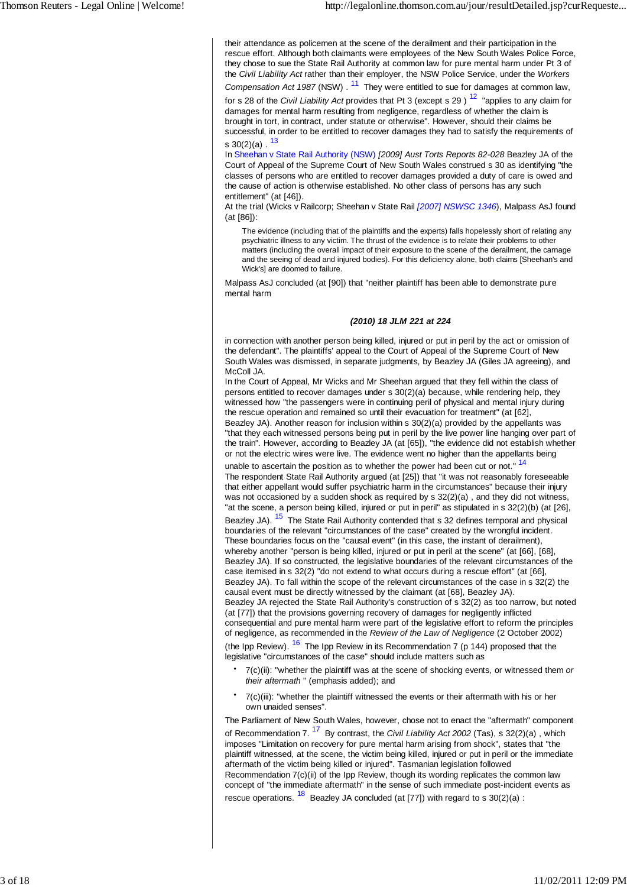their attendance as policemen at the scene of the derailment and their participation in the rescue effort. Although both claimants were employees of the New South Wales Police Force, they chose to sue the State Rail Authority at common law for pure mental harm under Pt 3 of the *Civil Liability Act* rather than their employer, the NSW Police Service, under the *Workers*

*Compensation Act 1987* (NSW) . <sup>11</sup> They were entitled to sue for damages at common law, for s 28 of the *Civil Liability Act* provides that Pt 3 (except s 29 ) 12 "applies to any claim for damages for mental harm resulting from negligence, regardless of whether the claim is brought in tort, in contract, under statute or otherwise". However, should their claims be successful, in order to be entitled to recover damages they had to satisfy the requirements of s  $30(2)(a)$ .  $13$ 

In Sheehan v State Rail Authority (NSW) *[2009] Aust Torts Reports 82-028* Beazley JA of the Court of Appeal of the Supreme Court of New South Wales construed s 30 as identifying "the classes of persons who are entitled to recover damages provided a duty of care is owed and the cause of action is otherwise established. No other class of persons has any such entitlement" (at [46]).

At the trial (Wicks v Railcorp; Sheehan v State Rail *[2007] NSWSC 1346*), Malpass AsJ found (at [86]):

The evidence (including that of the plaintiffs and the experts) falls hopelessly short of relating any psychiatric illness to any victim. The thrust of the evidence is to relate their problems to other matters (including the overall impact of their exposure to the scene of the derailment, the carnage and the seeing of dead and injured bodies). For this deficiency alone, both claims [Sheehan's and Wick's] are doomed to failure.

Malpass AsJ concluded (at [90]) that "neither plaintiff has been able to demonstrate pure mental harm

#### *(2010) 18 JLM 221 at 224*

in connection with another person being killed, injured or put in peril by the act or omission of the defendant". The plaintiffs' appeal to the Court of Appeal of the Supreme Court of New South Wales was dismissed, in separate judgments, by Beazley JA (Giles JA agreeing), and McColl JA.

In the Court of Appeal, Mr Wicks and Mr Sheehan argued that they fell within the class of persons entitled to recover damages under s 30(2)(a) because, while rendering help, they witnessed how "the passengers were in continuing peril of physical and mental injury during the rescue operation and remained so until their evacuation for treatment" (at [62], Beazley JA). Another reason for inclusion within s 30(2)(a) provided by the appellants was "that they each witnessed persons being put in peril by the live power line hanging over part of

the train". However, according to Beazley JA (at [65]), "the evidence did not establish whether or not the electric wires were live. The evidence went no higher than the appellants being unable to ascertain the position as to whether the power had been cut or not."<sup>14</sup>

The respondent State Rail Authority argued (at [25]) that "it was not reasonably foreseeable that either appellant would suffer psychiatric harm in the circumstances" because their injury was not occasioned by a sudden shock as required by s 32(2)(a) , and they did not witness, "at the scene, a person being killed, injured or put in peril" as stipulated in s 32(2)(b) (at [26], Beazley JA). <sup>15</sup> The State Rail Authority contended that s 32 defines temporal and physical boundaries of the relevant "circumstances of the case" created by the wrongful incident. These boundaries focus on the "causal event" (in this case, the instant of derailment), whereby another "person is being killed, injured or put in peril at the scene" (at [66], [68], Beazley JA). If so constructed, the legislative boundaries of the relevant circumstances of the case itemised in s 32(2) "do not extend to what occurs during a rescue effort" (at [66], Beazley JA). To fall within the scope of the relevant circumstances of the case in s 32(2) the causal event must be directly witnessed by the claimant (at [68], Beazley JA). Beazley JA rejected the State Rail Authority's construction of s 32(2) as too narrow, but noted (at [77]) that the provisions governing recovery of damages for negligently inflicted consequential and pure mental harm were part of the legislative effort to reform the principles of negligence, as recommended in the *Review of the Law of Negligence* (2 October 2002) (the Ipp Review).  $16$  The Ipp Review in its Recommendation 7 (p 144) proposed that the legislative "circumstances of the case" should include matters such as

- 7(c)(ii): "whether the plaintiff was at the scene of shocking events, or witnessed them *or their aftermath* " (emphasis added); and
- 7(c)(iii): "whether the plaintiff witnessed the events or their aftermath with his or her own unaided senses".

The Parliament of New South Wales, however, chose not to enact the "aftermath" component of Recommendation 7. 17 By contrast, the *Civil Liability Act 2002* (Tas), s 32(2)(a) , which imposes "Limitation on recovery for pure mental harm arising from shock", states that "the plaintiff witnessed, at the scene, the victim being killed, injured or put in peril or the immediate aftermath of the victim being killed or injured". Tasmanian legislation followed Recommendation 7(c)(ii) of the Ipp Review, though its wording replicates the common law concept of "the immediate aftermath" in the sense of such immediate post-incident events as rescue operations.  $18$  Beazley JA concluded (at [77]) with regard to s  $30(2)(a)$ :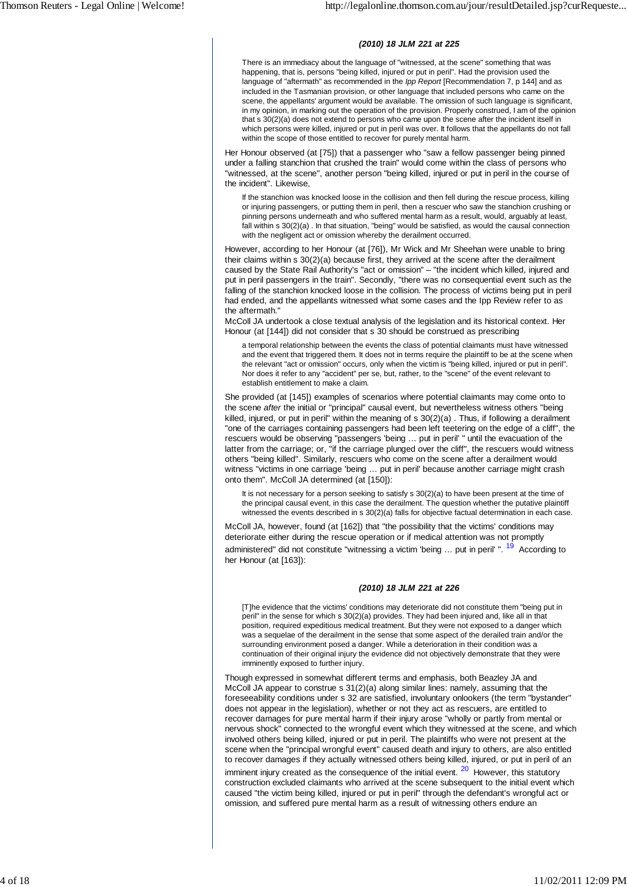#### *(2010) 18 JLM 221 at 225*

There is an immediacy about the language of "witnessed, at the scene" something that was happening, that is, persons "being killed, injured or put in peril". Had the provision used the language of "aftermath" as recommended in the *Ipp Report* [Recommendation 7, p 144] and as included in the Tasmanian provision, or other language that included persons who came on the scene, the appellants' argument would be available. The omission of such language is significant, in my opinion, in marking out the operation of the provision. Properly construed, I am of the opinion that s 30(2)(a) does not extend to persons who came upon the scene after the incident itself in which persons were killed, injured or put in peril was over. It follows that the appellants do not fall within the scope of those entitled to recover for purely mental harm.

Her Honour observed (at [75]) that a passenger who "saw a fellow passenger being pinned under a falling stanchion that crushed the train" would come within the class of persons who "witnessed, at the scene", another person "being killed, injured or put in peril in the course of the incident". Likewise,

If the stanchion was knocked loose in the collision and then fell during the rescue process, killing or injuring passengers, or putting them in peril, then a rescuer who saw the stanchion crushing or pinning persons underneath and who suffered mental harm as a result, would, arguably at least, fall within s 30(2)(a) . In that situation, "being" would be satisfied, as would the causal connection with the negligent act or omission whereby the derailment occurred.

However, according to her Honour (at [76]), Mr Wick and Mr Sheehan were unable to bring their claims within s 30(2)(a) because first, they arrived at the scene after the derailment caused by the State Rail Authority's "act or omission" – "the incident which killed, injured and put in peril passengers in the train". Secondly, "there was no consequential event such as the falling of the stanchion knocked loose in the collision. The process of victims being put in peril had ended, and the appellants witnessed what some cases and the Ipp Review refer to as the aftermath."

McColl JA undertook a close textual analysis of the legislation and its historical context. Her Honour (at [144]) did not consider that s 30 should be construed as prescribing

a temporal relationship between the events the class of potential claimants must have witnessed and the event that triggered them. It does not in terms require the plaintiff to be at the scene when the relevant "act or omission" occurs, only when the victim is "being killed, injured or put in peril". Nor does it refer to any "accident" per se, but, rather, to the "scene" of the event relevant to establish entitlement to make a claim.

She provided (at [145]) examples of scenarios where potential claimants may come onto to the scene *after* the initial or "principal" causal event, but nevertheless witness others "being killed, injured, or put in peril" within the meaning of s  $30(2)(a)$ . Thus, if following a derailment "one of the carriages containing passengers had been left teetering on the edge of a cliff", the rescuers would be observing "passengers 'being … put in peril' " until the evacuation of the latter from the carriage; or, "if the carriage plunged over the cliff", the rescuers would witness others "being killed". Similarly, rescuers who come on the scene after a derailment would witness "victims in one carriage 'being … put in peril' because another carriage might crash onto them". McColl JA determined (at [150]):

It is not necessary for a person seeking to satisfy s 30(2)(a) to have been present at the time of the principal causal event, in this case the derailment. The question whether the putative plaintiff witnessed the events described in s 30(2)(a) falls for objective factual determination in each case.

McColl JA, however, found (at [162]) that "the possibility that the victims' conditions may deteriorate either during the rescue operation or if medical attention was not promptly administered" did not constitute "witnessing a victim 'being ... put in peril' ". <sup>19</sup> According to her Honour (at [163]):

#### *(2010) 18 JLM 221 at 226*

[T]he evidence that the victims' conditions may deteriorate did not constitute them "being put in peril" in the sense for which s 30(2)(a) provides. They had been injured and, like all in that position, required expeditious medical treatment. But they were not exposed to a danger which was a sequelae of the derailment in the sense that some aspect of the derailed train and/or the surrounding environment posed a danger. While a deterioration in their condition was a continuation of their original injury the evidence did not objectively demonstrate that they were imminently exposed to further injury.

Though expressed in somewhat different terms and emphasis, both Beazley JA and McColl JA appear to construe s 31(2)(a) along similar lines: namely, assuming that the foreseeability conditions under s 32 are satisfied, involuntary onlookers (the term "bystander" does not appear in the legislation), whether or not they act as rescuers, are entitled to recover damages for pure mental harm if their injury arose "wholly or partly from mental or nervous shock" connected to the wrongful event which they witnessed at the scene, and which involved others being killed, injured or put in peril. The plaintiffs who were not present at the scene when the "principal wrongful event" caused death and injury to others, are also entitled to recover damages if they actually witnessed others being killed, injured, or put in peril of an

imminent injury created as the consequence of the initial event.  $20$  However, this statutory construction excluded claimants who arrived at the scene subsequent to the initial event which caused "the victim being killed, injured or put in peril" through the defendant's wrongful act or omission, and suffered pure mental harm as a result of witnessing others endure an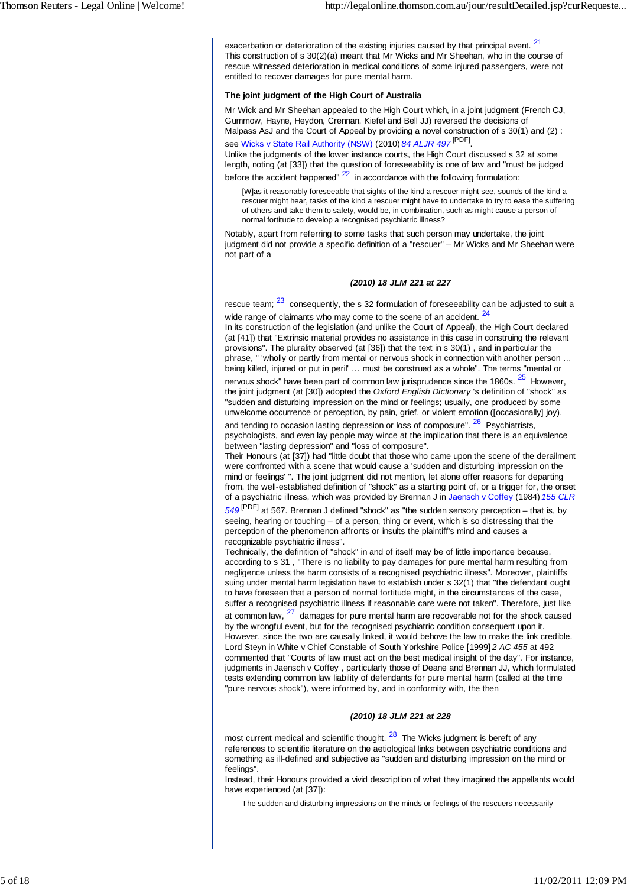exacerbation or deterioration of the existing injuries caused by that principal event. <sup>21</sup> This construction of s 30(2)(a) meant that Mr Wicks and Mr Sheehan, who in the course of rescue witnessed deterioration in medical conditions of some injured passengers, were not entitled to recover damages for pure mental harm.

#### **The joint judgment of the High Court of Australia**

Mr Wick and Mr Sheehan appealed to the High Court which, in a joint judgment (French CJ, Gummow, Hayne, Heydon, Crennan, Kiefel and Bell JJ) reversed the decisions of Malpass AsJ and the Court of Appeal by providing a novel construction of s 30(1) and (2) : see Wicks v State Rail Authority (NSW) (2010) *84 ALJR 497* [PDF] .

Unlike the judgments of the lower instance courts, the High Court discussed s 32 at some length, noting (at [33]) that the question of foreseeability is one of law and "must be judged before the accident happened"  $22$  in accordance with the following formulation:

[W]as it reasonably foreseeable that sights of the kind a rescuer might see, sounds of the kind a rescuer might hear, tasks of the kind a rescuer might have to undertake to try to ease the suffering of others and take them to safety, would be, in combination, such as might cause a person of normal fortitude to develop a recognised psychiatric illness?

Notably, apart from referring to some tasks that such person may undertake, the joint judgment did not provide a specific definition of a "rescuer" – Mr Wicks and Mr Sheehan were not part of a

#### *(2010) 18 JLM 221 at 227*

rescue team;  $\frac{23}{1}$  consequently, the s 32 formulation of foreseeability can be adjusted to suit a wide range of claimants who may come to the scene of an accident. <sup>24</sup>

In its construction of the legislation (and unlike the Court of Appeal), the High Court declared (at [41]) that "Extrinsic material provides no assistance in this case in construing the relevant provisions". The plurality observed (at [36]) that the text in s 30(1) , and in particular the phrase, " 'wholly or partly from mental or nervous shock in connection with another person … being killed, injured or put in peril' … must be construed as a whole". The terms "mental or nervous shock" have been part of common law jurisprudence since the 1860s.  $25$  However. the joint judgment (at [30]) adopted the *Oxford English Dictionary* 's definition of "shock" as "sudden and disturbing impression on the mind or feelings; usually, one produced by some unwelcome occurrence or perception, by pain, grief, or violent emotion ([occasionally] joy),

and tending to occasion lasting depression or loss of composure". <sup>26</sup> Psychiatrists, psychologists, and even lay people may wince at the implication that there is an equivalence between "lasting depression" and "loss of composure".

Their Honours (at [37]) had "little doubt that those who came upon the scene of the derailment were confronted with a scene that would cause a 'sudden and disturbing impression on the mind or feelings' ". The joint judgment did not mention, let alone offer reasons for departing from, the well-established definition of "shock" as a starting point of, or a trigger for, the onset of a psychiatric illness, which was provided by Brennan J in Jaensch v Coffey (1984) *155 CLR*

*549* [PDF] at 567. Brennan J defined "shock" as "the sudden sensory perception – that is, by seeing, hearing or touching – of a person, thing or event, which is so distressing that the perception of the phenomenon affronts or insults the plaintiff's mind and causes a recognizable psychiatric illness".

Technically, the definition of "shock" in and of itself may be of little importance because, according to s 31 , "There is no liability to pay damages for pure mental harm resulting from negligence unless the harm consists of a recognised psychiatric illness". Moreover, plaintiffs suing under mental harm legislation have to establish under s 32(1) that "the defendant ought to have foreseen that a person of normal fortitude might, in the circumstances of the case, suffer a recognised psychiatric illness if reasonable care were not taken". Therefore, just like at common law,  $27$  damages for pure mental harm are recoverable not for the shock caused by the wrongful event, but for the recognised psychiatric condition consequent upon it. However, since the two are causally linked, it would behove the law to make the link credible. Lord Steyn in White v Chief Constable of South Yorkshire Police [1999] *2 AC 455* at 492 commented that "Courts of law must act on the best medical insight of the day". For instance, judgments in Jaensch v Coffey , particularly those of Deane and Brennan JJ, which formulated tests extending common law liability of defendants for pure mental harm (called at the time "pure nervous shock"), were informed by, and in conformity with, the then

#### *(2010) 18 JLM 221 at 228*

most current medical and scientific thought.  $28$  The Wicks judgment is bereft of any references to scientific literature on the aetiological links between psychiatric conditions and something as ill-defined and subjective as "sudden and disturbing impression on the mind or feelings".

Instead, their Honours provided a vivid description of what they imagined the appellants would have experienced (at [37]):

The sudden and disturbing impressions on the minds or feelings of the rescuers necessarily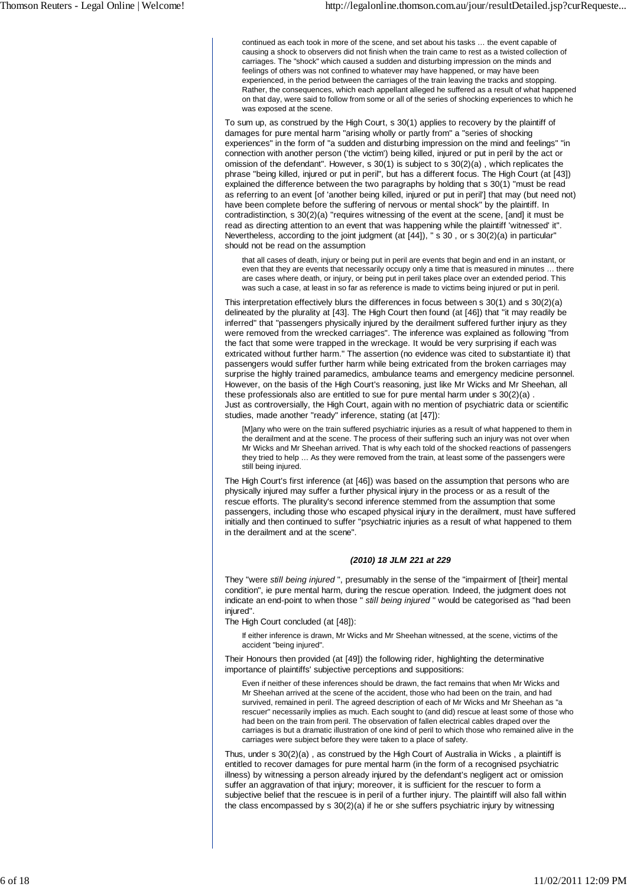continued as each took in more of the scene, and set about his tasks … the event capable of causing a shock to observers did not finish when the train came to rest as a twisted collection of carriages. The "shock" which caused a sudden and disturbing impression on the minds and feelings of others was not confined to whatever may have happened, or may have been experienced, in the period between the carriages of the train leaving the tracks and stopping. Rather, the consequences, which each appellant alleged he suffered as a result of what happened on that day, were said to follow from some or all of the series of shocking experiences to which he was exposed at the scene.

To sum up, as construed by the High Court, s 30(1) applies to recovery by the plaintiff of damages for pure mental harm "arising wholly or partly from" a "series of shocking experiences" in the form of "a sudden and disturbing impression on the mind and feelings" "in connection with another person ('the victim') being killed, injured or put in peril by the act or omission of the defendant". However, s 30(1) is subject to s 30(2)(a) , which replicates the phrase "being killed, injured or put in peril", but has a different focus. The High Court (at [43]) explained the difference between the two paragraphs by holding that s 30(1) "must be read as referring to an event [of 'another being killed, injured or put in peril'] that may (but need not) have been complete before the suffering of nervous or mental shock" by the plaintiff. In contradistinction, s 30(2)(a) "requires witnessing of the event at the scene, [and] it must be read as directing attention to an event that was happening while the plaintiff 'witnessed' it". Nevertheless, according to the joint judgment (at [44]), " s 30 , or s 30(2)(a) in particular" should not be read on the assumption

that all cases of death, injury or being put in peril are events that begin and end in an instant, or even that they are events that necessarily occupy only a time that is measured in minutes … there are cases where death, or injury, or being put in peril takes place over an extended period. This was such a case, at least in so far as reference is made to victims being injured or put in peril.

This interpretation effectively blurs the differences in focus between s 30(1) and s 30(2)(a) delineated by the plurality at [43]. The High Court then found (at [46]) that "it may readily be inferred" that "passengers physically injured by the derailment suffered further injury as they were removed from the wrecked carriages". The inference was explained as following "from the fact that some were trapped in the wreckage. It would be very surprising if each was extricated without further harm." The assertion (no evidence was cited to substantiate it) that passengers would suffer further harm while being extricated from the broken carriages may surprise the highly trained paramedics, ambulance teams and emergency medicine personnel. However, on the basis of the High Court's reasoning, just like Mr Wicks and Mr Sheehan, all these professionals also are entitled to sue for pure mental harm under s 30(2)(a) . Just as controversially, the High Court, again with no mention of psychiatric data or scientific studies, made another "ready" inference, stating (at [47]):

[M]any who were on the train suffered psychiatric injuries as a result of what happened to them in the derailment and at the scene. The process of their suffering such an injury was not over when Mr Wicks and Mr Sheehan arrived. That is why each told of the shocked reactions of passengers they tried to help … As they were removed from the train, at least some of the passengers were still being injured.

The High Court's first inference (at [46]) was based on the assumption that persons who are physically injured may suffer a further physical injury in the process or as a result of the rescue efforts. The plurality's second inference stemmed from the assumption that some passengers, including those who escaped physical injury in the derailment, must have suffered initially and then continued to suffer "psychiatric injuries as a result of what happened to them in the derailment and at the scene".

#### *(2010) 18 JLM 221 at 229*

They "were *still being injured* ", presumably in the sense of the "impairment of [their] mental condition", ie pure mental harm, during the rescue operation. Indeed, the judgment does not indicate an end-point to when those " *still being injured* " would be categorised as "had been injured".

The High Court concluded (at [48]):

If either inference is drawn, Mr Wicks and Mr Sheehan witnessed, at the scene, victims of the accident "being injured".

Their Honours then provided (at [49]) the following rider, highlighting the determinative importance of plaintiffs' subjective perceptions and suppositions:

Even if neither of these inferences should be drawn, the fact remains that when Mr Wicks and Mr Sheehan arrived at the scene of the accident, those who had been on the train, and had survived, remained in peril. The agreed description of each of Mr Wicks and Mr Sheehan as "a rescuer" necessarily implies as much. Each sought to (and did) rescue at least some of those who had been on the train from peril. The observation of fallen electrical cables draped over the carriages is but a dramatic illustration of one kind of peril to which those who remained alive in the carriages were subject before they were taken to a place of safety.

Thus, under s 30(2)(a) , as construed by the High Court of Australia in Wicks , a plaintiff is entitled to recover damages for pure mental harm (in the form of a recognised psychiatric illness) by witnessing a person already injured by the defendant's negligent act or omission suffer an aggravation of that injury; moreover, it is sufficient for the rescuer to form a subjective belief that the rescuee is in peril of a further injury. The plaintiff will also fall within the class encompassed by s 30(2)(a) if he or she suffers psychiatric injury by witnessing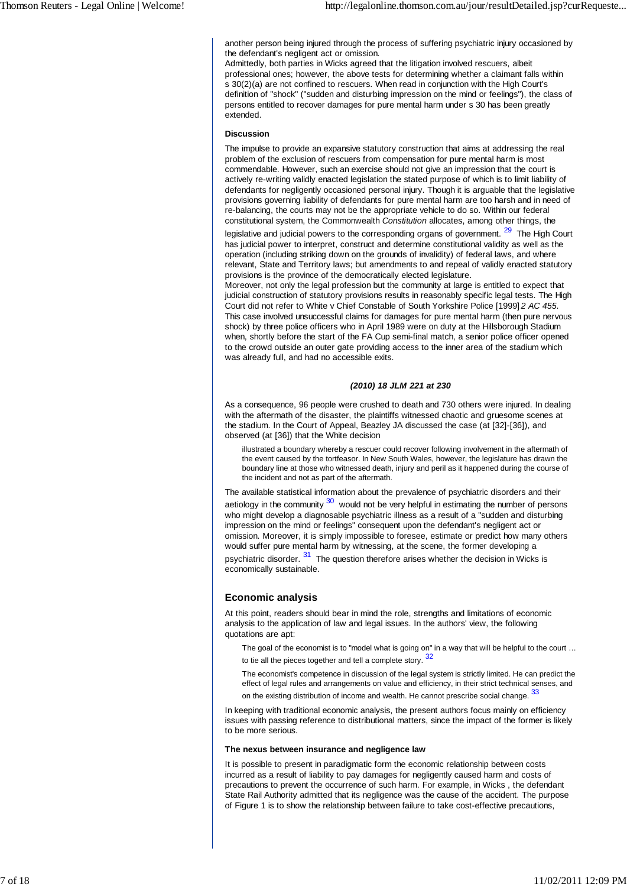another person being injured through the process of suffering psychiatric injury occasioned by the defendant's negligent act or omission.

Admittedly, both parties in Wicks agreed that the litigation involved rescuers, albeit professional ones; however, the above tests for determining whether a claimant falls within s 30(2)(a) are not confined to rescuers. When read in conjunction with the High Court's definition of "shock" ("sudden and disturbing impression on the mind or feelings"), the class of persons entitled to recover damages for pure mental harm under s 30 has been greatly extended.

#### **Discussion**

The impulse to provide an expansive statutory construction that aims at addressing the real problem of the exclusion of rescuers from compensation for pure mental harm is most commendable. However, such an exercise should not give an impression that the court is actively re-writing validly enacted legislation the stated purpose of which is to limit liability of defendants for negligently occasioned personal injury. Though it is arguable that the legislative provisions governing liability of defendants for pure mental harm are too harsh and in need of re-balancing, the courts may not be the appropriate vehicle to do so. Within our federal constitutional system, the Commonwealth *Constitution* allocates, among other things, the

legislative and judicial powers to the corresponding organs of government.<sup>29</sup> The High Court has judicial power to interpret, construct and determine constitutional validity as well as the operation (including striking down on the grounds of invalidity) of federal laws, and where relevant, State and Territory laws; but amendments to and repeal of validly enacted statutory provisions is the province of the democratically elected legislature.

Moreover, not only the legal profession but the community at large is entitled to expect that judicial construction of statutory provisions results in reasonably specific legal tests. The High Court did not refer to White v Chief Constable of South Yorkshire Police [1999] *2 AC 455* . This case involved unsuccessful claims for damages for pure mental harm (then pure nervous shock) by three police officers who in April 1989 were on duty at the Hillsborough Stadium when, shortly before the start of the FA Cup semi-final match, a senior police officer opened to the crowd outside an outer gate providing access to the inner area of the stadium which was already full, and had no accessible exits.

#### *(2010) 18 JLM 221 at 230*

As a consequence, 96 people were crushed to death and 730 others were injured. In dealing with the aftermath of the disaster, the plaintiffs witnessed chaotic and gruesome scenes at the stadium. In the Court of Appeal, Beazley JA discussed the case (at [32]-[36]), and observed (at [36]) that the White decision

illustrated a boundary whereby a rescuer could recover following involvement in the aftermath of the event caused by the tortfeasor. In New South Wales, however, the legislature has drawn the boundary line at those who witnessed death, injury and peril as it happened during the course of the incident and not as part of the aftermath.

The available statistical information about the prevalence of psychiatric disorders and their aetiology in the community  $30$  would not be very helpful in estimating the number of persons who might develop a diagnosable psychiatric illness as a result of a "sudden and disturbing impression on the mind or feelings" consequent upon the defendant's negligent act or omission. Moreover, it is simply impossible to foresee, estimate or predict how many others would suffer pure mental harm by witnessing, at the scene, the former developing a psychiatric disorder. <sup>31</sup> The question therefore arises whether the decision in Wicks is economically sustainable.

## **Economic analysis**

At this point, readers should bear in mind the role, strengths and limitations of economic analysis to the application of law and legal issues. In the authors' view, the following quotations are apt:

The goal of the economist is to "model what is going on" in a way that will be helpful to the court ... to tie all the pieces together and tell a complete story.  $32$ 

The economist's competence in discussion of the legal system is strictly limited. He can predict the effect of legal rules and arrangements on value and efficiency, in their strict technical senses, and on the existing distribution of income and wealth. He cannot prescribe social change.  $33$ 

In keeping with traditional economic analysis, the present authors focus mainly on efficiency issues with passing reference to distributional matters, since the impact of the former is likely to be more serious.

#### **The nexus between insurance and negligence law**

It is possible to present in paradigmatic form the economic relationship between costs incurred as a result of liability to pay damages for negligently caused harm and costs of precautions to prevent the occurrence of such harm. For example, in Wicks , the defendant State Rail Authority admitted that its negligence was the cause of the accident. The purpose of Figure 1 is to show the relationship between failure to take cost-effective precautions,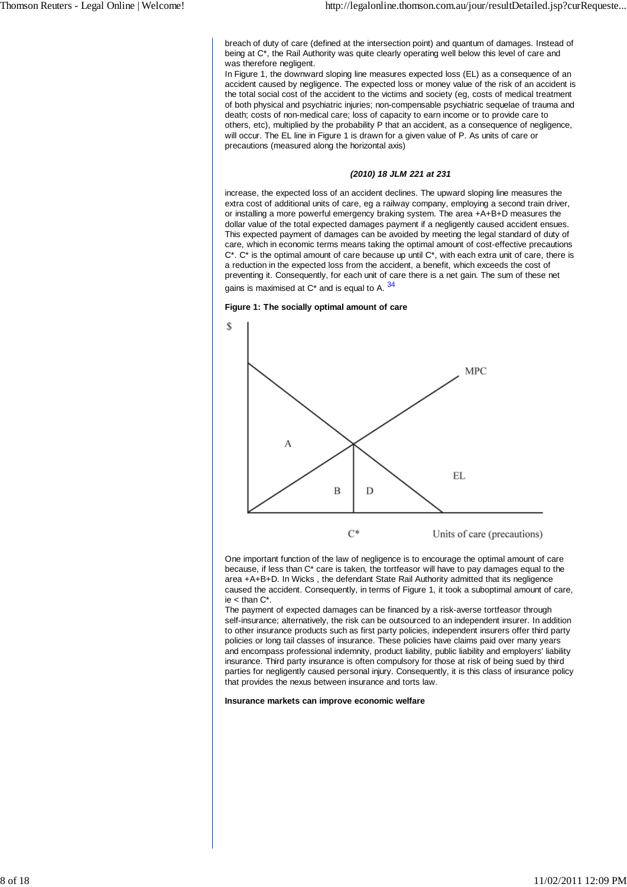breach of duty of care (defined at the intersection point) and quantum of damages. Instead of being at C\*, the Rail Authority was quite clearly operating well below this level of care and was therefore negligent.

In Figure 1, the downward sloping line measures expected loss (EL) as a consequence of an accident caused by negligence. The expected loss or money value of the risk of an accident is the total social cost of the accident to the victims and society (eg, costs of medical treatment of both physical and psychiatric injuries; non-compensable psychiatric sequelae of trauma and death; costs of non-medical care; loss of capacity to earn income or to provide care to others, etc), multiplied by the probability P that an accident, as a consequence of negligence, will occur. The EL line in Figure 1 is drawn for a given value of P. As units of care or precautions (measured along the horizontal axis)

#### *(2010) 18 JLM 221 at 231*

increase, the expected loss of an accident declines. The upward sloping line measures the extra cost of additional units of care, eg a railway company, employing a second train driver, or installing a more powerful emergency braking system. The area +A+B+D measures the dollar value of the total expected damages payment if a negligently caused accident ensues. This expected payment of damages can be avoided by meeting the legal standard of duty of care, which in economic terms means taking the optimal amount of cost-effective precautions  $C^*$ .  $C^*$  is the optimal amount of care because up until  $C^*$ , with each extra unit of care, there is a reduction in the expected loss from the accident, a benefit, which exceeds the cost of preventing it. Consequently, for each unit of care there is a net gain. The sum of these net gains is maximised at  $C^*$  and is equal to A.  $34$ 

#### **Figure 1: The socially optimal amount of care**



Units of care (precautions)

One important function of the law of negligence is to encourage the optimal amount of care because, if less than C\* care is taken, the tortfeasor will have to pay damages equal to the area +A+B+D. In Wicks , the defendant State Rail Authority admitted that its negligence caused the accident. Consequently, in terms of Figure 1, it took a suboptimal amount of care, ie  $<$  than  $C^*$ .

The payment of expected damages can be financed by a risk-averse tortfeasor through self-insurance; alternatively, the risk can be outsourced to an independent insurer. In addition to other insurance products such as first party policies, independent insurers offer third party policies or long tail classes of insurance. These policies have claims paid over many years and encompass professional indemnity, product liability, public liability and employers' liability insurance. Third party insurance is often compulsory for those at risk of being sued by third parties for negligently caused personal injury. Consequently, it is this class of insurance policy that provides the nexus between insurance and torts law.

#### **Insurance markets can improve economic welfare**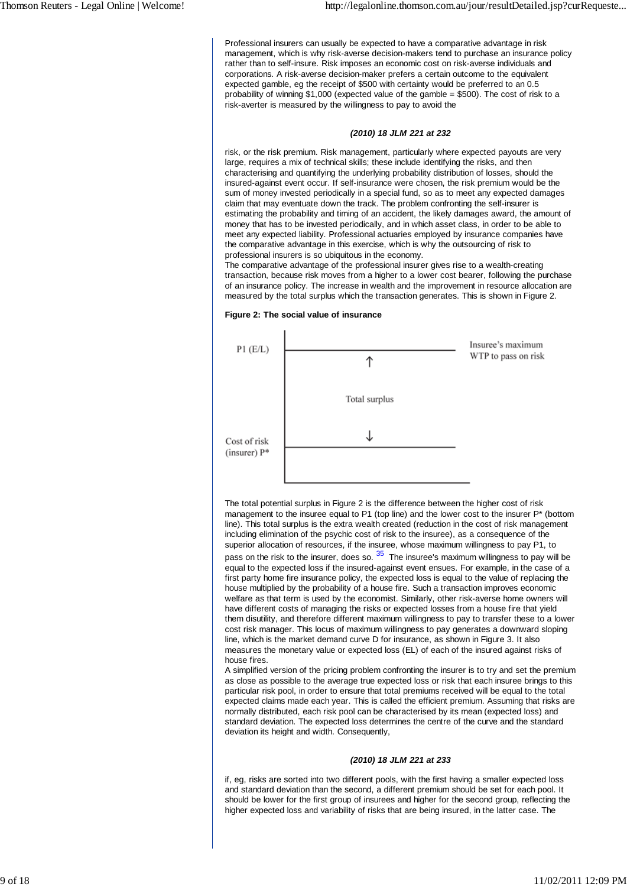Professional insurers can usually be expected to have a comparative advantage in risk management, which is why risk-averse decision-makers tend to purchase an insurance policy rather than to self-insure. Risk imposes an economic cost on risk-averse individuals and corporations. A risk-averse decision-maker prefers a certain outcome to the equivalent expected gamble, eg the receipt of \$500 with certainty would be preferred to an 0.5 probability of winning \$1,000 (expected value of the gamble = \$500). The cost of risk to a risk-averter is measured by the willingness to pay to avoid the

#### *(2010) 18 JLM 221 at 232*

risk, or the risk premium. Risk management, particularly where expected payouts are very large, requires a mix of technical skills; these include identifying the risks, and then characterising and quantifying the underlying probability distribution of losses, should the insured-against event occur. If self-insurance were chosen, the risk premium would be the sum of money invested periodically in a special fund, so as to meet any expected damages claim that may eventuate down the track. The problem confronting the self-insurer is estimating the probability and timing of an accident, the likely damages award, the amount of money that has to be invested periodically, and in which asset class, in order to be able to meet any expected liability. Professional actuaries employed by insurance companies have the comparative advantage in this exercise, which is why the outsourcing of risk to professional insurers is so ubiquitous in the economy.

The comparative advantage of the professional insurer gives rise to a wealth-creating transaction, because risk moves from a higher to a lower cost bearer, following the purchase of an insurance policy. The increase in wealth and the improvement in resource allocation are measured by the total surplus which the transaction generates. This is shown in Figure 2.

#### **Figure 2: The social value of insurance**



The total potential surplus in Figure 2 is the difference between the higher cost of risk management to the insuree equal to P1 (top line) and the lower cost to the insurer P\* (bottom line). This total surplus is the extra wealth created (reduction in the cost of risk management including elimination of the psychic cost of risk to the insuree), as a consequence of the superior allocation of resources, if the insuree, whose maximum willingness to pay P1, to pass on the risk to the insurer, does so.  $35$  The insuree's maximum willingness to pay will be equal to the expected loss if the insured-against event ensues. For example, in the case of a first party home fire insurance policy, the expected loss is equal to the value of replacing the house multiplied by the probability of a house fire. Such a transaction improves economic welfare as that term is used by the economist. Similarly, other risk-averse home owners will have different costs of managing the risks or expected losses from a house fire that yield them disutility, and therefore different maximum willingness to pay to transfer these to a lower cost risk manager. This locus of maximum willingness to pay generates a downward sloping line, which is the market demand curve D for insurance, as shown in Figure 3. It also measures the monetary value or expected loss (EL) of each of the insured against risks of house fires.

A simplified version of the pricing problem confronting the insurer is to try and set the premium as close as possible to the average true expected loss or risk that each insuree brings to this particular risk pool, in order to ensure that total premiums received will be equal to the total expected claims made each year. This is called the efficient premium. Assuming that risks are normally distributed, each risk pool can be characterised by its mean (expected loss) and standard deviation. The expected loss determines the centre of the curve and the standard deviation its height and width. Consequently,

#### *(2010) 18 JLM 221 at 233*

if, eg, risks are sorted into two different pools, with the first having a smaller expected loss and standard deviation than the second, a different premium should be set for each pool. It should be lower for the first group of insurees and higher for the second group, reflecting the higher expected loss and variability of risks that are being insured, in the latter case. The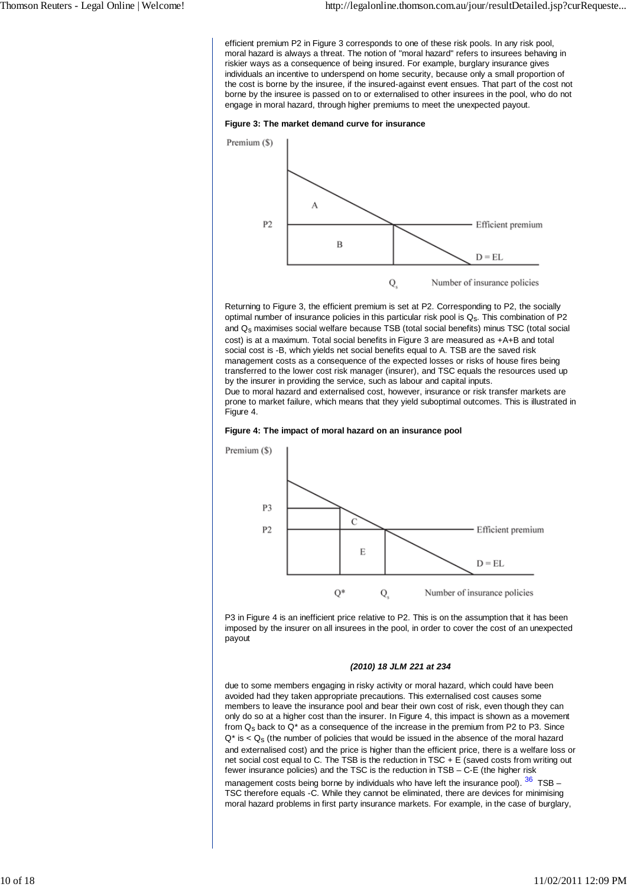efficient premium P2 in Figure 3 corresponds to one of these risk pools. In any risk pool, moral hazard is always a threat. The notion of "moral hazard" refers to insurees behaving in riskier ways as a consequence of being insured. For example, burglary insurance gives individuals an incentive to underspend on home security, because only a small proportion of the cost is borne by the insuree, if the insured-against event ensues. That part of the cost not borne by the insuree is passed on to or externalised to other insurees in the pool, who do not engage in moral hazard, through higher premiums to meet the unexpected payout.





Returning to Figure 3, the efficient premium is set at P2. Corresponding to P2, the socially optimal number of insurance policies in this particular risk pool is Q<sub>s</sub>. This combination of P2 and  $Q<sub>s</sub>$  maximises social welfare because TSB (total social benefits) minus TSC (total social cost) is at a maximum. Total social benefits in Figure 3 are measured as +A+B and total social cost is -B, which yields net social benefits equal to A. TSB are the saved risk management costs as a consequence of the expected losses or risks of house fires being transferred to the lower cost risk manager (insurer), and TSC equals the resources used up by the insurer in providing the service, such as labour and capital inputs.

Due to moral hazard and externalised cost, however, insurance or risk transfer markets are prone to market failure, which means that they yield suboptimal outcomes. This is illustrated in Figure 4.





P3 in Figure 4 is an inefficient price relative to P2. This is on the assumption that it has been imposed by the insurer on all insurees in the pool, in order to cover the cost of an unexpected payout

## *(2010) 18 JLM 221 at 234*

due to some members engaging in risky activity or moral hazard, which could have been avoided had they taken appropriate precautions. This externalised cost causes some members to leave the insurance pool and bear their own cost of risk, even though they can only do so at a higher cost than the insurer. In Figure 4, this impact is shown as a movement from  $Q<sub>s</sub>$  back to  $Q<sup>*</sup>$  as a consequence of the increase in the premium from P2 to P3. Since  $Q^*$  is  $Q_s$  (the number of policies that would be issued in the absence of the moral hazard and externalised cost) and the price is higher than the efficient price, there is a welfare loss or net social cost equal to C. The TSB is the reduction in TSC + E (saved costs from writing out fewer insurance policies) and the TSC is the reduction in TSB – C-E (the higher risk

management costs being borne by individuals who have left the insurance pool).  $36$  TSB – TSC therefore equals -C. While they cannot be eliminated, there are devices for minimising moral hazard problems in first party insurance markets. For example, in the case of burglary,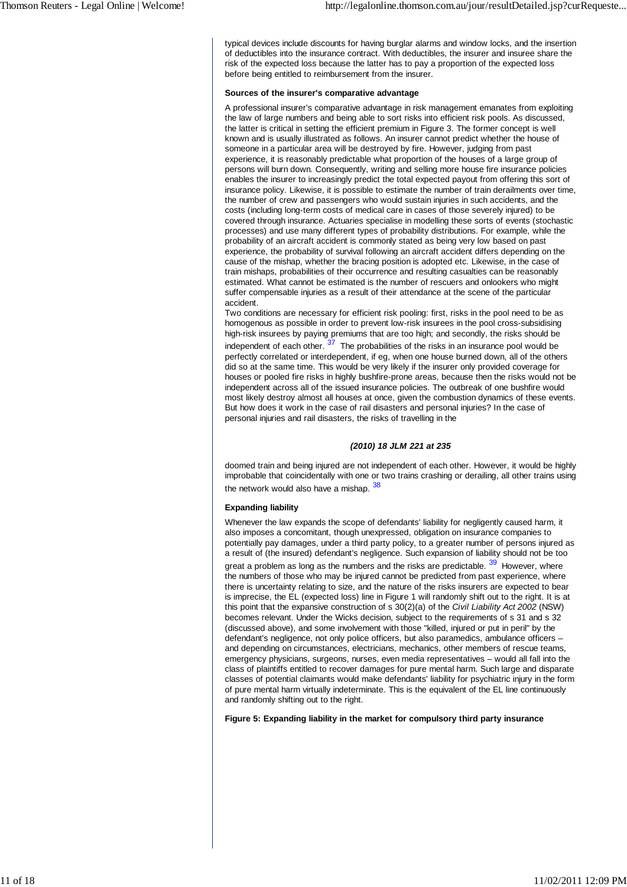typical devices include discounts for having burglar alarms and window locks, and the insertion of deductibles into the insurance contract. With deductibles, the insurer and insuree share the risk of the expected loss because the latter has to pay a proportion of the expected loss before being entitled to reimbursement from the insurer.

#### **Sources of the insurer's comparative advantage**

A professional insurer's comparative advantage in risk management emanates from exploiting the law of large numbers and being able to sort risks into efficient risk pools. As discussed, the latter is critical in setting the efficient premium in Figure 3. The former concept is well known and is usually illustrated as follows. An insurer cannot predict whether the house of someone in a particular area will be destroyed by fire. However, judging from past experience, it is reasonably predictable what proportion of the houses of a large group of persons will burn down. Consequently, writing and selling more house fire insurance policies enables the insurer to increasingly predict the total expected payout from offering this sort of insurance policy. Likewise, it is possible to estimate the number of train derailments over time, the number of crew and passengers who would sustain injuries in such accidents, and the costs (including long-term costs of medical care in cases of those severely injured) to be covered through insurance. Actuaries specialise in modelling these sorts of events (stochastic processes) and use many different types of probability distributions. For example, while the probability of an aircraft accident is commonly stated as being very low based on past experience, the probability of survival following an aircraft accident differs depending on the cause of the mishap, whether the bracing position is adopted etc. Likewise, in the case of train mishaps, probabilities of their occurrence and resulting casualties can be reasonably estimated. What cannot be estimated is the number of rescuers and onlookers who might suffer compensable injuries as a result of their attendance at the scene of the particular accident.

Two conditions are necessary for efficient risk pooling: first, risks in the pool need to be as homogenous as possible in order to prevent low-risk insurees in the pool cross-subsidising high-risk insurees by paying premiums that are too high; and secondly, the risks should be independent of each other.  $37$  The probabilities of the risks in an insurance pool would be perfectly correlated or interdependent, if eg, when one house burned down, all of the others did so at the same time. This would be very likely if the insurer only provided coverage for houses or pooled fire risks in highly bushfire-prone areas, because then the risks would not be independent across all of the issued insurance policies. The outbreak of one bushfire would most likely destroy almost all houses at once, given the combustion dynamics of these events. But how does it work in the case of rail disasters and personal injuries? In the case of personal injuries and rail disasters, the risks of travelling in the

## *(2010) 18 JLM 221 at 235*

doomed train and being injured are not independent of each other. However, it would be highly improbable that coincidentally with one or two trains crashing or derailing, all other trains using the network would also have a mishap. 38

## **Expanding liability**

Whenever the law expands the scope of defendants' liability for negligently caused harm, it also imposes a concomitant, though unexpressed, obligation on insurance companies to potentially pay damages, under a third party policy, to a greater number of persons injured as a result of (the insured) defendant's negligence. Such expansion of liability should not be too great a problem as long as the numbers and the risks are predictable. <sup>39</sup> However, where the numbers of those who may be injured cannot be predicted from past experience, where there is uncertainty relating to size, and the nature of the risks insurers are expected to bear is imprecise, the EL (expected loss) line in Figure 1 will randomly shift out to the right. It is at this point that the expansive construction of s 30(2)(a) of the *Civil Liability Act 2002* (NSW) becomes relevant. Under the Wicks decision, subject to the requirements of s 31 and s 32 (discussed above), and some involvement with those "killed, injured or put in peril" by the defendant's negligence, not only police officers, but also paramedics, ambulance officers – and depending on circumstances, electricians, mechanics, other members of rescue teams, emergency physicians, surgeons, nurses, even media representatives – would all fall into the class of plaintiffs entitled to recover damages for pure mental harm. Such large and disparate classes of potential claimants would make defendants' liability for psychiatric injury in the form of pure mental harm virtually indeterminate. This is the equivalent of the EL line continuously and randomly shifting out to the right.

## **Figure 5: Expanding liability in the market for compulsory third party insurance**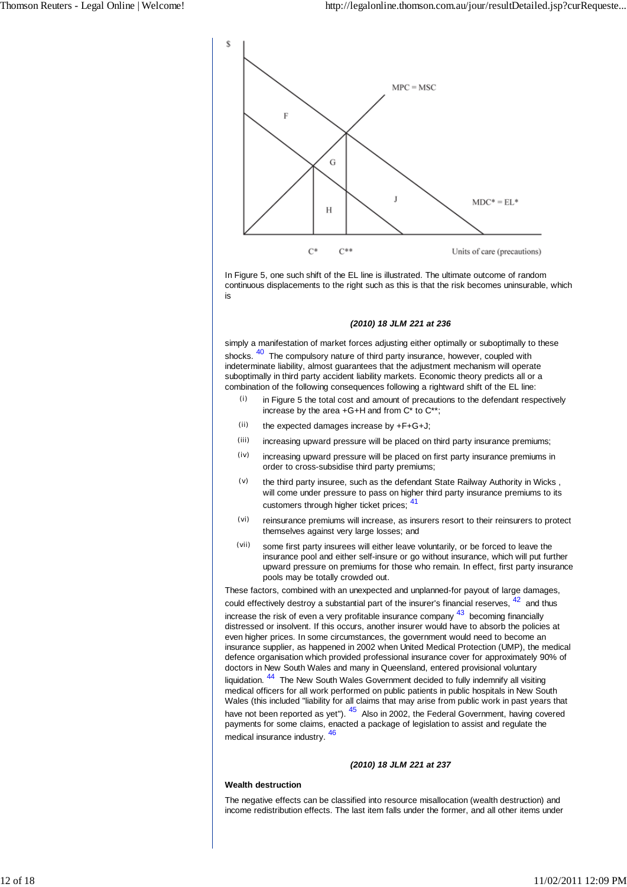

In Figure 5, one such shift of the EL line is illustrated. The ultimate outcome of random continuous displacements to the right such as this is that the risk becomes uninsurable, which is

#### *(2010) 18 JLM 221 at 236*

simply a manifestation of market forces adjusting either optimally or suboptimally to these shocks. <sup>40</sup> The compulsory nature of third party insurance, however, coupled with indeterminate liability, almost guarantees that the adjustment mechanism will operate suboptimally in third party accident liability markets. Economic theory predicts all or a combination of the following consequences following a rightward shift of the EL line:

- $(i)$  in Figure 5 the total cost and amount of precautions to the defendant respectively increase by the area +G+H and from C\* to C\*\*;
- $(i)$  the expected damages increase by  $+F+G+J$ ;
- (iii) increasing upward pressure will be placed on third party insurance premiums;
- $(iv)$  increasing upward pressure will be placed on first party insurance premiums in order to cross-subsidise third party premiums;
- $(v)$  the third party insuree, such as the defendant State Railway Authority in Wicks, will come under pressure to pass on higher third party insurance premiums to its customers through higher ticket prices:  $41$
- (vi) reinsurance premiums will increase, as insurers resort to their reinsurers to protect themselves against very large losses; and
- (vii) some first party insurees will either leave voluntarily, or be forced to leave the insurance pool and either self-insure or go without insurance, which will put further upward pressure on premiums for those who remain. In effect, first party insurance pools may be totally crowded out.

These factors, combined with an unexpected and unplanned-for payout of large damages, could effectively destroy a substantial part of the insurer's financial reserves,  $42$  and thus increase the risk of even a very profitable insurance company  $43$  becoming financially

distressed or insolvent. If this occurs, another insurer would have to absorb the policies at even higher prices. In some circumstances, the government would need to become an insurance supplier, as happened in 2002 when United Medical Protection (UMP), the medical defence organisation which provided professional insurance cover for approximately 90% of doctors in New South Wales and many in Queensland, entered provisional voluntary liquidation. <sup>44</sup> The New South Wales Government decided to fully indemnify all visiting medical officers for all work performed on public patients in public hospitals in New South Wales (this included "liability for all claims that may arise from public work in past years that have not been reported as yet"). <sup>45</sup> Also in 2002, the Federal Government, having covered payments for some claims, enacted a package of legislation to assist and regulate the medical insurance industry. <sup>46</sup>

#### *(2010) 18 JLM 221 at 237*

#### **Wealth destruction**

The negative effects can be classified into resource misallocation (wealth destruction) and income redistribution effects. The last item falls under the former, and all other items under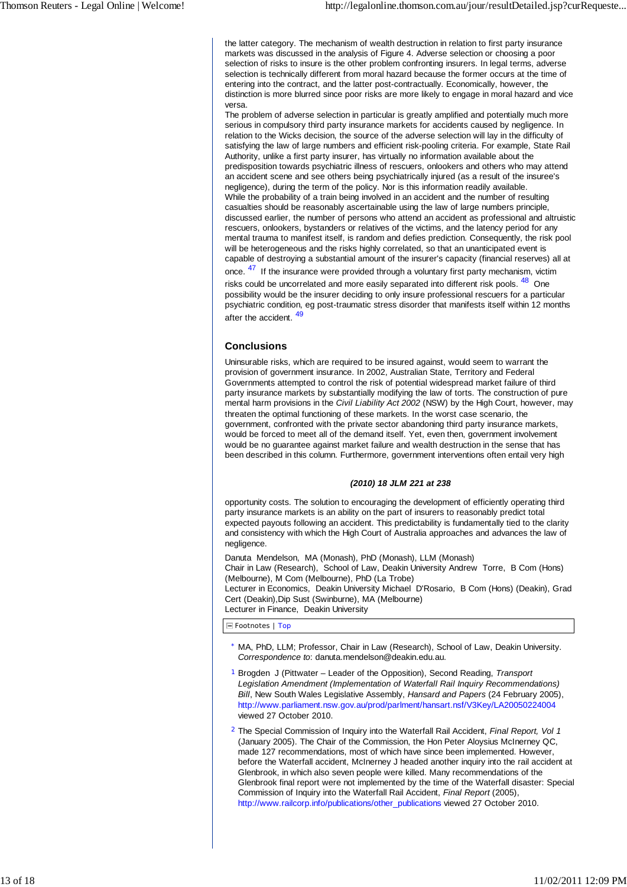the latter category. The mechanism of wealth destruction in relation to first party insurance markets was discussed in the analysis of Figure 4. Adverse selection or choosing a poor selection of risks to insure is the other problem confronting insurers. In legal terms, adverse selection is technically different from moral hazard because the former occurs at the time of entering into the contract, and the latter post-contractually. Economically, however, the distinction is more blurred since poor risks are more likely to engage in moral hazard and vice versa.

The problem of adverse selection in particular is greatly amplified and potentially much more serious in compulsory third party insurance markets for accidents caused by negligence. In relation to the Wicks decision, the source of the adverse selection will lay in the difficulty of satisfying the law of large numbers and efficient risk-pooling criteria. For example, State Rail Authority, unlike a first party insurer, has virtually no information available about the predisposition towards psychiatric illness of rescuers, onlookers and others who may attend an accident scene and see others being psychiatrically injured (as a result of the insuree's negligence), during the term of the policy. Nor is this information readily available. While the probability of a train being involved in an accident and the number of resulting casualties should be reasonably ascertainable using the law of large numbers principle, discussed earlier, the number of persons who attend an accident as professional and altruistic rescuers, onlookers, bystanders or relatives of the victims, and the latency period for any mental trauma to manifest itself, is random and defies prediction. Consequently, the risk pool will be heterogeneous and the risks highly correlated, so that an unanticipated event is capable of destroying a substantial amount of the insurer's capacity (financial reserves) all at once. <sup>47</sup> If the insurance were provided through a voluntary first party mechanism, victim risks could be uncorrelated and more easily separated into different risk pools. <sup>48</sup> One possibility would be the insurer deciding to only insure professional rescuers for a particular psychiatric condition, eg post-traumatic stress disorder that manifests itself within 12 months after the accident.  $49$ 

## **Conclusions**

Uninsurable risks, which are required to be insured against, would seem to warrant the provision of government insurance. In 2002, Australian State, Territory and Federal Governments attempted to control the risk of potential widespread market failure of third party insurance markets by substantially modifying the law of torts. The construction of pure mental harm provisions in the *Civil Liability Act 2002* (NSW) by the High Court, however, may threaten the optimal functioning of these markets. In the worst case scenario, the government, confronted with the private sector abandoning third party insurance markets, would be forced to meet all of the demand itself. Yet, even then, government involvement would be no guarantee against market failure and wealth destruction in the sense that has been described in this column. Furthermore, government interventions often entail very high

## *(2010) 18 JLM 221 at 238*

opportunity costs. The solution to encouraging the development of efficiently operating third party insurance markets is an ability on the part of insurers to reasonably predict total expected payouts following an accident. This predictability is fundamentally tied to the clarity and consistency with which the High Court of Australia approaches and advances the law of negligence.

Danuta Mendelson, MA (Monash), PhD (Monash), LLM (Monash) Chair in Law (Research), School of Law, Deakin University Andrew Torre, B Com (Hons) (Melbourne), M Com (Melbourne), PhD (La Trobe) Lecturer in Economics, Deakin University Michael D'Rosario, B Com (Hons) (Deakin), Grad Cert (Deakin),Dip Sust (Swinburne), MA (Melbourne) Lecturer in Finance, Deakin University

Footnotes | Top

- \* MA, PhD, LLM; Professor, Chair in Law (Research), School of Law, Deakin University. *Correspondence to*: danuta.mendelson@deakin.edu.au.
- 1 Brogden J (Pittwater Leader of the Opposition), Second Reading, *Transport Legislation Amendment (Implementation of Waterfall Rail Inquiry Recommendations) Bill*, New South Wales Legislative Assembly, *Hansard and Papers* (24 February 2005), http://www.parliament.nsw.gov.au/prod/parlment/hansart.nsf/V3Key/LA20050224004 viewed 27 October 2010.
- 2 The Special Commission of Inquiry into the Waterfall Rail Accident, *Final Report, Vol 1* (January 2005). The Chair of the Commission, the Hon Peter Aloysius McInerney QC, made 127 recommendations, most of which have since been implemented. However, before the Waterfall accident, McInerney J headed another inquiry into the rail accident at Glenbrook, in which also seven people were killed. Many recommendations of the Glenbrook final report were not implemented by the time of the Waterfall disaster: Special Commission of Inquiry into the Waterfall Rail Accident, *Final Report* (2005), http://www.railcorp.info/publications/other\_publications viewed 27 October 2010.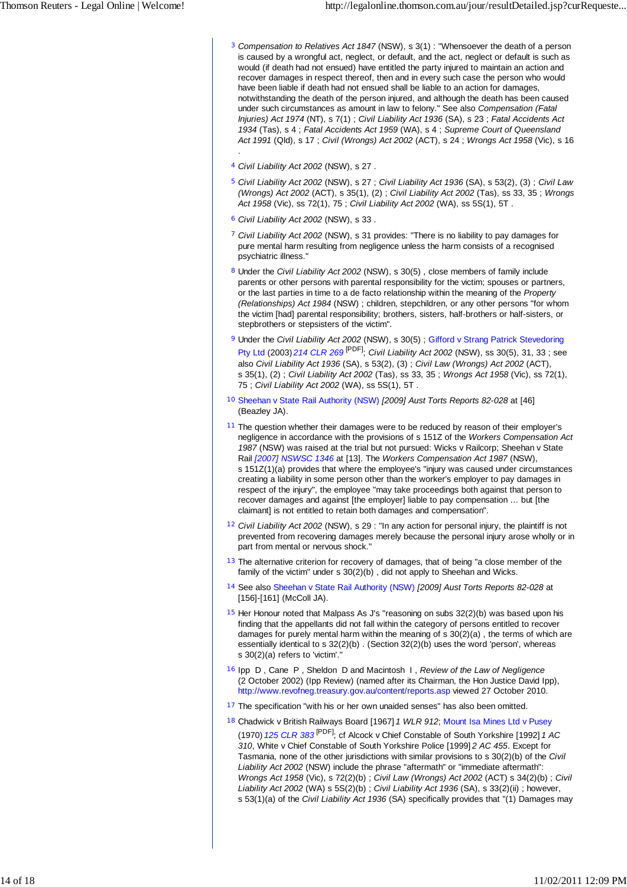- 3 *Compensation to Relatives Act 1847* (NSW), s 3(1) : "Whensoever the death of a person is caused by a wrongful act, neglect, or default, and the act, neglect or default is such as would (if death had not ensued) have entitled the party injured to maintain an action and recover damages in respect thereof, then and in every such case the person who would have been liable if death had not ensued shall be liable to an action for damages. notwithstanding the death of the person injured, and although the death has been caused under such circumstances as amount in law to felony." See also *Compensation (Fatal Injuries) Act 1974* (NT), s 7(1) ; *Civil Liability Act 1936* (SA), s 23 ; *Fatal Accidents Act 1934* (Tas), s 4 ; *Fatal Accidents Act 1959* (WA), s 4 ; *Supreme Court of Queensland Act 1991* (Qld), s 17 ; *Civil (Wrongs) Act 2002* (ACT), s 24 ; *Wrongs Act 1958* (Vic), s 16
- 4 *Civil Liability Act 2002* (NSW), s 27 .

.

- 5 *Civil Liability Act 2002* (NSW), s 27 ; *Civil Liability Act 1936* (SA), s 53(2), (3) ; *Civil Law (Wrongs) Act 2002* (ACT), s 35(1), (2) ; *Civil Liability Act 2002* (Tas), ss 33, 35 ; *Wrongs Act 1958* (Vic), ss 72(1), 75 ; *Civil Liability Act 2002* (WA), ss 5S(1), 5T .
- 6 *Civil Liability Act 2002* (NSW), s 33 .
- 7 *Civil Liability Act 2002* (NSW), s 31 provides: "There is no liability to pay damages for pure mental harm resulting from negligence unless the harm consists of a recognised psychiatric illness."
- 8 Under the *Civil Liability Act 2002* (NSW), s 30(5) , close members of family include parents or other persons with parental responsibility for the victim; spouses or partners, or the last parties in time to a de facto relationship within the meaning of the *Property (Relationships) Act 1984* (NSW) ; children, stepchildren, or any other persons "for whom the victim [had] parental responsibility; brothers, sisters, half-brothers or half-sisters, or stepbrothers or stepsisters of the victim".
- 9 Under the *Civil Liability Act 2002* (NSW), s 30(5) ; Gifford v Strang Patrick Stevedoring Pty Ltd (2003) *214 CLR 269* [PDF]; *Civil Liability Act 2002* (NSW), ss 30(5), 31, 33 ; see also *Civil Liability Act 1936* (SA), s 53(2), (3) ; *Civil Law (Wrongs) Act 2002* (ACT), s 35(1), (2) ; *Civil Liability Act 2002* (Tas), ss 33, 35 ; *Wrongs Act 1958* (Vic), ss 72(1), 75 ; *Civil Liability Act 2002* (WA), ss 5S(1), 5T .
- 10 Sheehan v State Rail Authority (NSW) *[2009] Aust Torts Reports 82-028* at [46] (Beazley JA).
- <sup>11</sup> The question whether their damages were to be reduced by reason of their employer's negligence in accordance with the provisions of s 151Z of the *Workers Compensation Act 1987* (NSW) was raised at the trial but not pursued: Wicks v Railcorp; Sheehan v State Rail *[2007] NSWSC 1346* at [13]. The *Workers Compensation Act 1987* (NSW), s 151Z(1)(a) provides that where the employee's "injury was caused under circumstances creating a liability in some person other than the worker's employer to pay damages in respect of the injury", the employee "may take proceedings both against that person to recover damages and against [the employer] liable to pay compensation … but [the claimant] is not entitled to retain both damages and compensation".
- 12 *Civil Liability Act 2002* (NSW), s 29 : "In any action for personal injury, the plaintiff is not prevented from recovering damages merely because the personal injury arose wholly or in part from mental or nervous shock."
- <sup>13</sup> The alternative criterion for recovery of damages, that of being "a close member of the family of the victim" under s 30(2)(b) , did not apply to Sheehan and Wicks.
- 14 See also Sheehan v State Rail Authority (NSW) *[2009] Aust Torts Reports 82-028* at [156]-[161] (McColl JA).
- $15$  Her Honour noted that Malpass As J's "reasoning on subs  $32(2)(b)$  was based upon his finding that the appellants did not fall within the category of persons entitled to recover damages for purely mental harm within the meaning of s 30(2)(a) , the terms of which are essentially identical to s 32(2)(b) . (Section 32(2)(b) uses the word 'person', whereas s 30(2)(a) refers to 'victim'."
- 16 Ipp D , Cane P , Sheldon D and Macintosh I , *Review of the Law of Negligence* (2 October 2002) (Ipp Review) (named after its Chairman, the Hon Justice David Ipp), http://www.revofneg.treasury.gov.au/content/reports.asp viewed 27 October 2010.
- <sup>17</sup> The specification "with his or her own unaided senses" has also been omitted.
- 18 Chadwick v British Railways Board [1967] *1 WLR 912*; Mount Isa Mines Ltd v Pusey (1970) *125 CLR 383* [PDF]; cf Alcock v Chief Constable of South Yorkshire [1992] *1 AC 310*, White v Chief Constable of South Yorkshire Police [1999] *2 AC 455*. Except for Tasmania, none of the other jurisdictions with similar provisions to s 30(2)(b) of the *Civil Liability Act 2002* (NSW) include the phrase "aftermath" or "immediate aftermath": *Wrongs Act 1958* (Vic), s 72(2)(b) ; *Civil Law (Wrongs) Act 2002* (ACT) s 34(2)(b) ; *Civil Liability Act 2002* (WA) s 5S(2)(b) ; *Civil Liability Act 1936* (SA), s 33(2)(ii) ; however, s 53(1)(a) of the *Civil Liability Act 1936* (SA) specifically provides that "(1) Damages may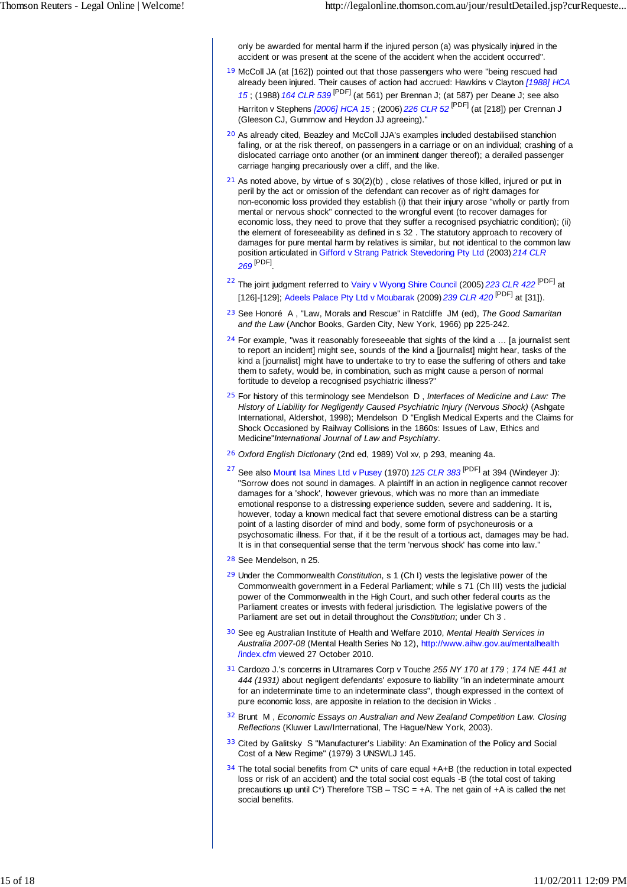only be awarded for mental harm if the injured person (a) was physically injured in the accident or was present at the scene of the accident when the accident occurred".

- <sup>19</sup> McColl JA (at [162]) pointed out that those passengers who were "being rescued had already been injured. Their causes of action had accrued: Hawkins v Clayton *[1988] HCA 15* ; (1988) *164 CLR 539* [PDF] (at 561) per Brennan J; (at 587) per Deane J; see also Harriton v Stephens *[2006] HCA 15* ; (2006) *226 CLR 52* [PDF] (at [218]) per Crennan J (Gleeson CJ, Gummow and Heydon JJ agreeing)."
- 20 As already cited, Beazley and McColl JJA's examples included destabilised stanchion falling, or at the risk thereof, on passengers in a carriage or on an individual; crashing of a dislocated carriage onto another (or an imminent danger thereof); a derailed passenger carriage hanging precariously over a cliff, and the like.
- $21$  As noted above, by virtue of s 30(2)(b), close relatives of those killed, injured or put in peril by the act or omission of the defendant can recover as of right damages for non-economic loss provided they establish (i) that their injury arose "wholly or partly from mental or nervous shock" connected to the wrongful event (to recover damages for economic loss, they need to prove that they suffer a recognised psychiatric condition); (ii) the element of foreseeability as defined in s 32 . The statutory approach to recovery of damages for pure mental harm by relatives is similar, but not identical to the common law position articulated in Gifford v Strang Patrick Stevedoring Pty Ltd (2003) *214 CLR 269* [PDF] .
- <sup>22</sup> The joint judgment referred to Vairy v Wyong Shire Council (2005) *223 CLR 422* [PDF] at [126]-[129]; Adeels Palace Pty Ltd v Moubarak (2009) *239 CLR 420* [PDF] at [31]).
- 23 See Honoré A , "Law, Morals and Rescue" in Ratcliffe JM (ed), *The Good Samaritan and the Law* (Anchor Books, Garden City, New York, 1966) pp 225-242.
- $24$  For example, "was it reasonably foreseeable that sights of the kind a ... [a journalist sent to report an incident] might see, sounds of the kind a [journalist] might hear, tasks of the kind a [journalist] might have to undertake to try to ease the suffering of others and take them to safety, would be, in combination, such as might cause a person of normal fortitude to develop a recognised psychiatric illness?"
- 25 For history of this terminology see Mendelson D , *Interfaces of Medicine and Law: The History of Liability for Negligently Caused Psychiatric Injury (Nervous Shock)* (Ashgate International, Aldershot, 1998); Mendelson D "English Medical Experts and the Claims for Shock Occasioned by Railway Collisions in the 1860s: Issues of Law, Ethics and Medicine"*International Journal of Law and Psychiatry*.
- 26 *Oxford English Dictionary* (2nd ed, 1989) Vol xv, p 293, meaning 4a.
- <sup>27</sup> See also Mount Isa Mines Ltd v Pusey (1970) *125 CLR 383* [PDF] at 394 (Windeyer J): "Sorrow does not sound in damages. A plaintiff in an action in negligence cannot recover damages for a 'shock', however grievous, which was no more than an immediate emotional response to a distressing experience sudden, severe and saddening. It is, however, today a known medical fact that severe emotional distress can be a starting point of a lasting disorder of mind and body, some form of psychoneurosis or a psychosomatic illness. For that, if it be the result of a tortious act, damages may be had. It is in that consequential sense that the term 'nervous shock' has come into law.
- 28 See Mendelson, n 25.
- 29 Under the Commonwealth *Constitution*, s 1 (Ch I) vests the legislative power of the Commonwealth government in a Federal Parliament; while s 71 (Ch III) vests the judicial power of the Commonwealth in the High Court, and such other federal courts as the Parliament creates or invests with federal jurisdiction. The legislative powers of the Parliament are set out in detail throughout the *Constitution*; under Ch 3 .
- 30 See eg Australian Institute of Health and Welfare 2010, *Mental Health Services in Australia 2007-08* (Mental Health Series No 12), http://www.aihw.gov.au/mentalhealth /index.cfm viewed 27 October 2010.
- 31 Cardozo J.'s concerns in Ultramares Corp v Touche *255 NY 170 at 179* ; *174 NE 441 at 444 (1931)* about negligent defendants' exposure to liability "in an indeterminate amount for an indeterminate time to an indeterminate class", though expressed in the context of pure economic loss, are apposite in relation to the decision in Wicks .
- 32 Brunt M , *Economic Essays on Australian and New Zealand Competition Law. Closing Reflections* (Kluwer Law/International, The Hague/New York, 2003).
- 33 Cited by Galitsky S "Manufacturer's Liability: An Examination of the Policy and Social Cost of a New Regime" (1979) 3 UNSWLJ 145.
- $34$  The total social benefits from C\* units of care equal +A+B (the reduction in total expected loss or risk of an accident) and the total social cost equals -B (the total cost of taking precautions up until  $C^*$ ) Therefore TSB – TSC = +A. The net gain of +A is called the net social benefits.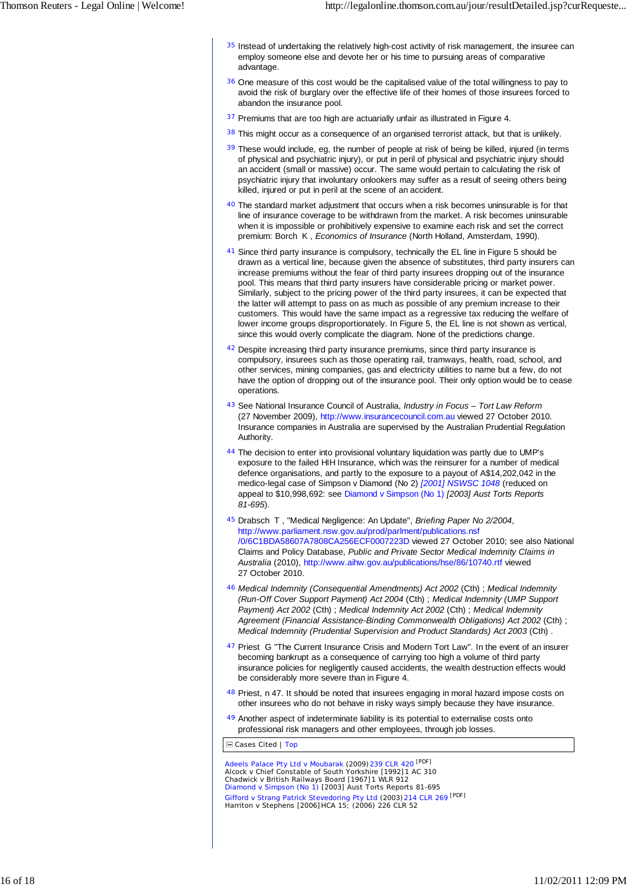- $35$  Instead of undertaking the relatively high-cost activity of risk management, the insuree can employ someone else and devote her or his time to pursuing areas of comparative advantage.
- <sup>36</sup> One measure of this cost would be the capitalised value of the total willingness to pay to avoid the risk of burglary over the effective life of their homes of those insurees forced to abandon the insurance pool.
- <sup>37</sup> Premiums that are too high are actuarially unfair as illustrated in Figure 4.
- 38 This might occur as a consequence of an organised terrorist attack, but that is unlikely.
- $39$  These would include, eg, the number of people at risk of being be killed, injured (in terms of physical and psychiatric injury), or put in peril of physical and psychiatric injury should an accident (small or massive) occur. The same would pertain to calculating the risk of psychiatric injury that involuntary onlookers may suffer as a result of seeing others being killed, injured or put in peril at the scene of an accident.
- <sup>40</sup> The standard market adjustment that occurs when a risk becomes uninsurable is for that line of insurance coverage to be withdrawn from the market. A risk becomes uninsurable when it is impossible or prohibitively expensive to examine each risk and set the correct premium: Borch K , *Economics of Insurance* (North Holland, Amsterdam, 1990).
- 41 Since third party insurance is compulsory, technically the EL line in Figure 5 should be drawn as a vertical line, because given the absence of substitutes, third party insurers can increase premiums without the fear of third party insurees dropping out of the insurance pool. This means that third party insurers have considerable pricing or market power. Similarly, subject to the pricing power of the third party insurees, it can be expected that the latter will attempt to pass on as much as possible of any premium increase to their customers. This would have the same impact as a regressive tax reducing the welfare of lower income groups disproportionately. In Figure 5, the EL line is not shown as vertical, since this would overly complicate the diagram. None of the predictions change.
- 42 Despite increasing third party insurance premiums, since third party insurance is compulsory, insurees such as those operating rail, tramways, health, road, school, and other services, mining companies, gas and electricity utilities to name but a few, do not have the option of dropping out of the insurance pool. Their only option would be to cease operations.
- 43 See National Insurance Council of Australia, *Industry in Focus Tort Law Reform* (27 November 2009), http://www.insurancecouncil.com.au viewed 27 October 2010. Insurance companies in Australia are supervised by the Australian Prudential Regulation Authority.
- 44 The decision to enter into provisional voluntary liquidation was partly due to UMP's exposure to the failed HIH Insurance, which was the reinsurer for a number of medical defence organisations, and partly to the exposure to a payout of A\$14,202,042 in the medico-legal case of Simpson v Diamond (No 2) *[2001] NSWSC 1048* (reduced on appeal to \$10,998,692: see Diamond v Simpson (No 1) *[2003] Aust Torts Reports 81-695*).
- 45 Drabsch T , "Medical Negligence: An Update", *Briefing Paper No 2/2004* , http://www.parliament.nsw.gov.au/prod/parlment/publications.nsf /0/6C1BDA58607A7808CA256ECF0007223D viewed 27 October 2010; see also National Claims and Policy Database, *Public and Private Sector Medical Indemnity Claims in Australia* (2010), http://www.aihw.gov.au/publications/hse/86/10740.rtf viewed 27 October 2010.
- 46 *Medical Indemnity (Consequential Amendments) Act 2002* (Cth) ; *Medical Indemnity (Run-Off Cover Support Payment) Act 2004* (Cth) ; *Medical Indemnity (UMP Support Payment) Act 2002* (Cth) ; *Medical Indemnity Act 2002* (Cth) ; *Medical Indemnity Agreement (Financial Assistance-Binding Commonwealth Obligations) Act 2002* (Cth) ; *Medical Indemnity (Prudential Supervision and Product Standards) Act 2003* (Cth) .
- 47 Priest G "The Current Insurance Crisis and Modern Tort Law". In the event of an insurer becoming bankrupt as a consequence of carrying too high a volume of third party insurance policies for negligently caused accidents, the wealth destruction effects would be considerably more severe than in Figure 4.
- 48 Priest, n 47. It should be noted that insurees engaging in moral hazard impose costs on other insurees who do not behave in risky ways simply because they have insurance.
- 49 Another aspect of indeterminate liability is its potential to externalise costs onto professional risk managers and other employees, through job losses.
- Cases Cited | Top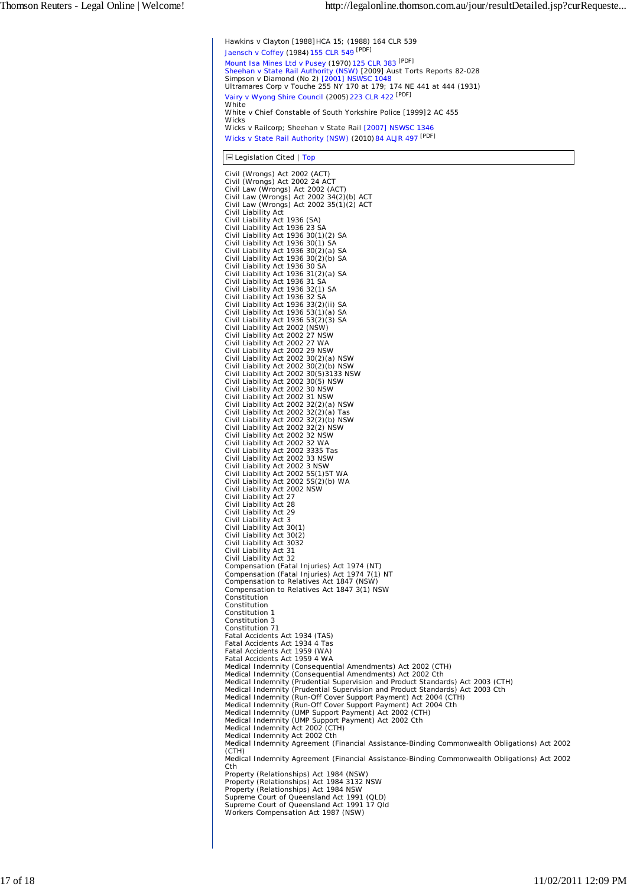Hawkins v Clayton [1988]*HCA 15; (1988) 164 CLR 539* Jaensch v Coffey (1984)*155 CLR 549* [PDF] Mount Isa Mines Ltd v Pusey (1970)*125 CLR 383* [PDF] Sheehan v State Rail Authority (NSW) *[2009] Aust Torts Reports 82-028* Simpson v Diamond (No 2) *[2001] NSWSC 1048* Ultramares Corp v Touche *255 NY 170 at 179; 174 NE 441 at 444 (1931)* Vairy v Wyong Shire Council (2005)*223 CLR 422* [PDF] White White v Chief Constable of South Yorkshire Police [1999]*2 AC 455* **Wicks** Wicks v Railcorp; Sheehan v State Rail *[2007] NSWSC 1346* Wicks v State Rail Authority (NSW) (2010)*84 ALJR 497* [PDF]

**E** Legislation Cited | Top

Civil (Wrongs) Act 2002 (ACT) Civil (Wrongs) Act 2002 24 ACT Civil Law (Wrongs) Act 2002 (ACT) Civil Law (Wrongs) Act 2002 34(2)(b) ACT Civil Law (Wrongs) Act 2002 35(1)(2) ACT Civil Liability Act Civil Liability Act 1936 (SA) Civil Liability Act 1936 23 SA Civil Liability Act 1936 30(1)(2) SA Civil Liability Act 1936 30(1) SA Civil Liability Act 1936 30(2)(a) SA Civil Liability Act 1936 30(2)(b) SA Civil Liability Act 1936 30 SA Civil Liability Act 1936 31(2)(a) SA Civil Liability Act 1936 31 SA Civil Liability Act 1936 32(1) SA Civil Liability Act 1936 32 SA Civil Liability Act 1936 33(2)(ii) SA Civil Liability Act 1936 53(1)(a) SA Civil Liability Act 1936 53(2)(3) SA Civil Liability Act 2002 (NSW) Civil Liability Act 2002 27 NSW Civil Liability Act 2002 27 WA Civil Liability Act 2002 29 NSW Civil Liability Act 2002 30(2)(a) NSW Civil Liability Act 2002 30(2)(b) NSW Civil Liability Act 2002 30(5)3133 NSW Civil Liability Act 2002 30(5) NSW Civil Liability Act 2002 30 NSW Civil Liability Act 2002 31 NSW Civil Liability Act 2002 32(2)(a) NSW Civil Liability Act 2002 32(2)(a) Tas Civil Liability Act 2002 32(2)(b) NSW Civil Liability Act 2002 32(2) NSW Civil Liability Act 2002 32 NSW Civil Liability Act 2002 32 WA Civil Liability Act 2002 3335 Tas Civil Liability Act 2002 33 NSW Civil Liability Act 2002 3 NSW Civil Liability Act 2002 5S(1)5T WA Civil Liability Act 2002 5S(2)(b) WA Civil Liability Act 2002 NSW Civil Liability Act 27 Civil Liability Act 28 Civil Liability Act 29 Civil Liability Act 3 Civil Liability Act 30(1) Civil Liability Act 30(2) Civil Liability Act 3032 Civil Liability Act 31 Civil Liability Act 32 Compensation (Fatal Injuries) Act 1974 (NT)<br>Compensation (Fatal Injuries) Act 1974 7(1) NT<br>Compensation to Relatives Act 1847 3(1)<br>Compensation to Relatives Act 1847 3(1) NSW Constitution Constitution Constitution 1 Constitution 3 Constitution 71 Fatal Accidents Act 1934 (TAS) Fatal Accidents Act 1934 4 Tas Fatal Accidents Act 1959 (WA) Fatal Accidents Act 1959 4 WA Medical Indemnity (Consequential Amendments) Act 2002 (CTH) Medical Indemnity (Consequential Amendments) Act 2002 Cth Medical Indemnity (Prudential Supervision and Product Standards) Act 2003 (CTH) Medical Indemnity (Prudential Supervision and Product Standards) Act 2003 Cth Medical Indemnity (Run-Off Cover Support Payment) Act 2004 (CTH)<br>Medical Indemnity (Run-Off Cover Support Payment) Act 2004 Cth<br>Medical Indemnity (UMP Support Payment) Act 2002 (CTH)<br>Medical Indemnity (UMP Support Payment) Medical Indemnity Act 2002 (CTH) Medical Indemnity Act 2002 Cth Medical Indemnity Agreement (Financial Assistance-Binding Commonwealth Obligations) Act 2002 (CTH) Medical Indemnity Agreement (Financial Assistance-Binding Commonwealth Obligations) Act 2002 Cth Property (Relationships) Act 1984 (NSW) Property (Relationships) Act 1984 3132 NSW Property (Relationships) Act 1984 NSW Supreme Court of Queensland Act 1991 (QLD) Supreme Court of Queensland Act 1991 17 Qld Workers Compensation Act 1987 (NSW)